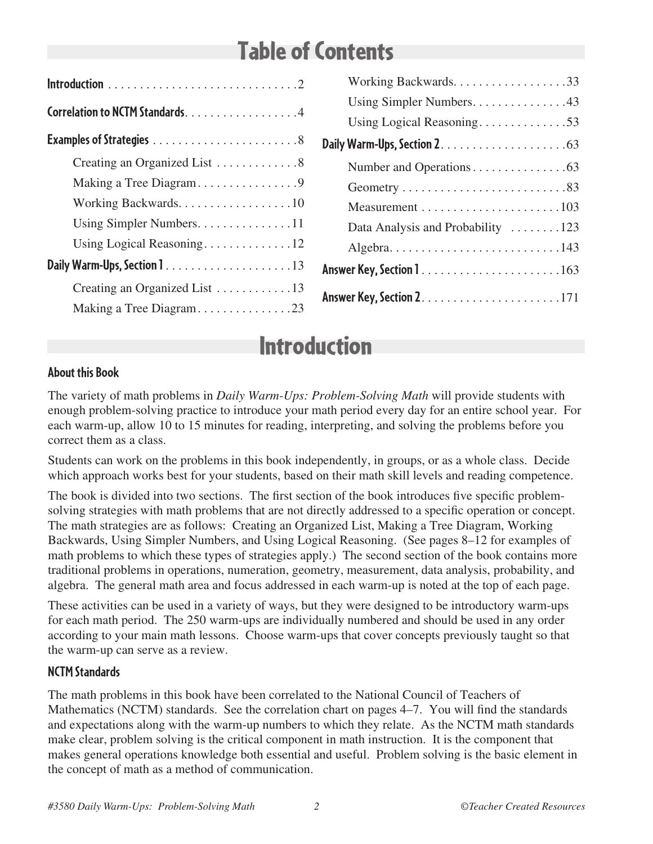# Table of Contents

| Correlation to NCTM Standards. 4 |
|----------------------------------|
|                                  |
| Creating an Organized List 8     |
|                                  |
| Working Backwards. 10            |
| Using Simpler Numbers11          |
| Using Logical Reasoning12        |
|                                  |
| Creating an Organized List 13    |
| Making a Tree Diagram23          |

| Using Simpler Numbers43                                                    |
|----------------------------------------------------------------------------|
| Using Logical Reasoning53                                                  |
|                                                                            |
|                                                                            |
|                                                                            |
|                                                                            |
| Data Analysis and Probability 123                                          |
| Algebra. $\dots \dots \dots \dots \dots \dots \dots \dots \dots \dots 143$ |
| <b>Answer Key, Section 1</b> 163                                           |
|                                                                            |

# Introduction

### **About this Book**

The variety of math problems in *Daily Warm-Ups: Problem-Solving Math* will provide students with enough problem-solving practice to introduce your math period every day for an entire school year. For each warm-up, allow 10 to 15 minutes for reading, interpreting, and solving the problems before you correct them as a class.

Students can work on the problems in this book independently, in groups, or as a whole class. Decide which approach works best for your students, based on their math skill levels and reading competence.

The book is divided into two sections. The first section of the book introduces five specific problemsolving strategies with math problems that are not directly addressed to a specific operation or concept. The math strategies are as follows: Creating an Organized List, Making a Tree Diagram, Working Backwards, Using Simpler Numbers, and Using Logical Reasoning. (See pages 8–12 for examples of math problems to which these types of strategies apply.) The second section of the book contains more traditional problems in operations, numeration, geometry, measurement, data analysis, probability, and algebra. The general math area and focus addressed in each warm-up is noted at the top of each page.

These activities can be used in a variety of ways, but they were designed to be introductory warm-ups for each math period. The 250 warm-ups are individually numbered and should be used in any order according to your main math lessons. Choose warm-ups that cover concepts previously taught so that the warm-up can serve as a review.

### **NCTM Standards**

The math problems in this book have been correlated to the National Council of Teachers of Mathematics (NCTM) standards. See the correlation chart on pages 4–7. You will find the standards and expectations along with the warm-up numbers to which they relate. As the NCTM math standards make clear, problem solving is the critical component in math instruction. It is the component that makes general operations knowledge both essential and useful. Problem solving is the basic element in the concept of math as a method of communication.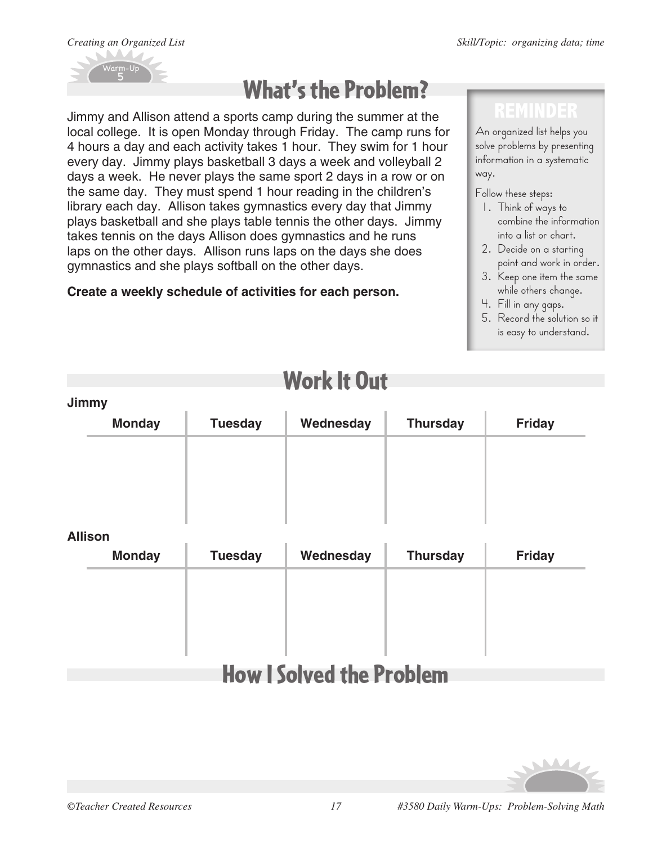



# What's the Problem?

Jimmy and Allison attend a sports camp during the summer at the local college. It is open Monday through Friday. The camp runs for 4 hours a day and each activity takes 1 hour. They swim for 1 hour every day. Jimmy plays basketball 3 days a week and volleyball 2 days a week. He never plays the same sport 2 days in a row or on the same day. They must spend 1 hour reading in the children's library each day. Allison takes gymnastics every day that Jimmy plays basketball and she plays table tennis the other days. Jimmy takes tennis on the days Allison does gymnastics and he runs laps on the other days. Allison runs laps on the days she does gymnastics and she plays softball on the other days.

### **Create a weekly schedule of activities for each person.**

### **REMINDER**

An organized list helps you solve problems by presenting information in a systematic way.

Follow these steps:

- 1. Think of ways to combine the information into a list or chart.
- 2. Decide on a starting point and work in order.
- 3. Keep one item the same while others change.
- 4. Fill in any gaps.
- 5. Record the solution so it is easy to understand.

| Jimmy          |                |           |                 |               |
|----------------|----------------|-----------|-----------------|---------------|
| <b>Monday</b>  | <b>Tuesday</b> | Wednesday | <b>Thursday</b> | <b>Friday</b> |
|                |                |           |                 |               |
|                |                |           |                 |               |
|                |                |           |                 |               |
|                |                |           |                 |               |
| <b>Allison</b> |                |           |                 |               |
| <b>Monday</b>  | <b>Tuesday</b> | Wednesday | <b>Thursday</b> | <b>Friday</b> |
|                |                |           |                 |               |
|                |                |           |                 |               |
|                |                |           |                 |               |
|                |                |           |                 |               |
|                |                |           |                 |               |

# Work It Out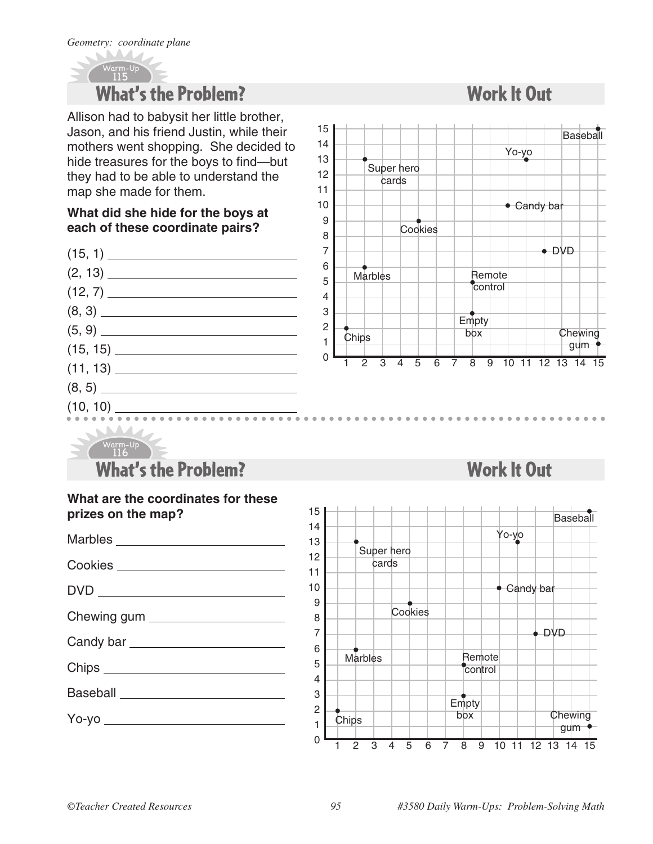### Warm-Up 115 What's the Problem?

Allison had to babysit her little brother, Jason, and his friend Justin, while their mothers went shopping. She decided to hide treasures for the boys to find—but they had to be able to understand the map she made for them.

#### **What did she hide for the boys at each of these coordinate pairs?**





Work It Out

#### Warm-Up What's the Problem? <u>116</u>

| What are the coordinates for these<br>prizes on the map? |
|----------------------------------------------------------|
|                                                          |
| Cookies _________________________                        |
|                                                          |
| Chewing gum _______________________                      |
|                                                          |
| Chips _______________________________                    |
|                                                          |
|                                                          |
|                                                          |

# Work It Out 15 14 13

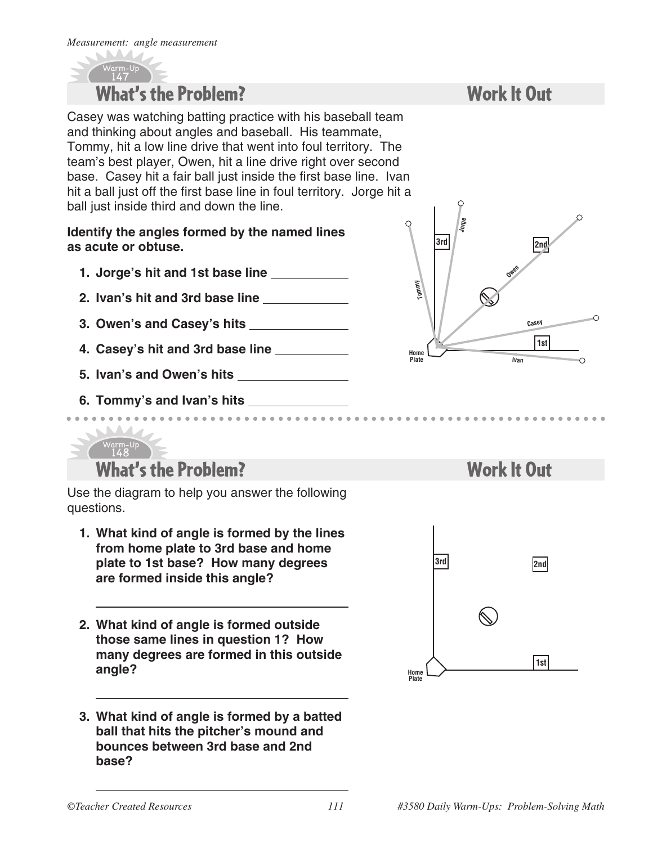

Casey was watching batting practice with his baseball team and thinking about angles and baseball. His teammate, Tommy, hit a low line drive that went into foul territory. The team's best player, Owen, hit a line drive right over second base. Casey hit a fair ball just inside the first base line. Ivan hit a ball just off the first base line in foul territory. Jorge hit a ball just inside third and down the line.

#### **Identify the angles formed by the named lines as acute or obtuse.**

- **1. Jorge's hit and 1st base line**
- **2. Ivan's hit and 3rd base line**
- **3. Owen's and Casey's hits**
- **4. Casey's hit and 3rd base line**
- **5. Ivan's and Owen's hits**

**6. Tommy's and Ivan's hits** 

Warm-Up

## Work It Out



### What's the Problem? <u>148</u>

Use the diagram to help you answer the following questions.

- **1. What kind of angle is formed by the lines from home plate to 3rd base and home plate to 1st base? How many degrees are formed inside this angle?**
- **2. What kind of angle is formed outside those same lines in question 1? How many degrees are formed in this outside angle?**
- **3. What kind of angle is formed by a batted ball that hits the pitcher's mound and bounces between 3rd base and 2nd base?**

### Work It Out